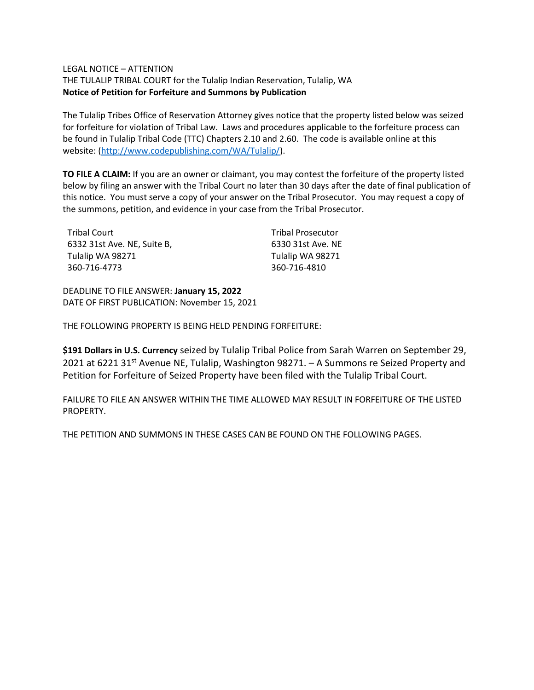## LEGAL NOTICE – ATTENTION

THE TULALIP TRIBAL COURT for the Tulalip Indian Reservation, Tulalip, WA **Notice of Petition for Forfeiture and Summons by Publication**

The Tulalip Tribes Office of Reservation Attorney gives notice that the property listed below was seized for forfeiture for violation of Tribal Law. Laws and procedures applicable to the forfeiture process can be found in Tulalip Tribal Code (TTC) Chapters 2.10 and 2.60. The code is available online at this website: [\(http://www.codepublishing.com/WA/Tulalip/\)](http://www.codepublishing.com/WA/Tulalip/).

**TO FILE A CLAIM:** If you are an owner or claimant, you may contest the forfeiture of the property listed below by filing an answer with the Tribal Court no later than 30 days after the date of final publication of this notice. You must serve a copy of your answer on the Tribal Prosecutor. You may request a copy of the summons, petition, and evidence in your case from the Tribal Prosecutor.

| Tribal Court                | <b>Tribal Prosecutor</b> |
|-----------------------------|--------------------------|
| 6332 31st Ave. NE, Suite B, | 6330 31st Ave. NE        |
| Tulalip WA 98271            | Tulalip WA 98271         |
| 360-716-4773                | 360-716-4810             |

DEADLINE TO FILE ANSWER: **January 15, 2022** DATE OF FIRST PUBLICATION: November 15, 2021

THE FOLLOWING PROPERTY IS BEING HELD PENDING FORFEITURE:

**\$191 Dollars in U.S. Currency** seized by Tulalip Tribal Police from Sarah Warren on September 29, 2021 at 6221 31<sup>st</sup> Avenue NE, Tulalip, Washington 98271. - A Summons re Seized Property and Petition for Forfeiture of Seized Property have been filed with the Tulalip Tribal Court.

FAILURE TO FILE AN ANSWER WITHIN THE TIME ALLOWED MAY RESULT IN FORFEITURE OF THE LISTED PROPERTY.

THE PETITION AND SUMMONS IN THESE CASES CAN BE FOUND ON THE FOLLOWING PAGES.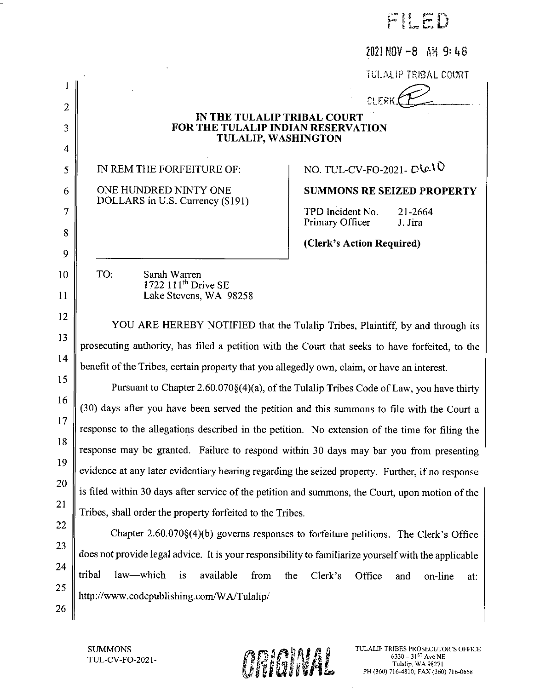Film

 $2021 N0V - 8$  AM 9:48

**TULALIP TRIBAL COURT** 

 $C \cup F$   $R$ 

# IN THE TULALIP TRIBAL COURT FOR THE TULALIP INDIAN RESERVATION **TULALIP, WASHINGTON**

IN REM THE FORFEITURE OF:

 $\mathbf{1}$ 

 $\overline{2}$ 

3

 $\overline{4}$ 

5

6

7

8

 $\mathbf Q$ 

10

11

12

13

14

22

23

24

25

26

ONE HUNDRED NINTY ONE DOLLARS in U.S. Currency (\$191)

# NO. TUL-CV-FO-2021- DIE IV

**SUMMONS RE SEIZED PROPERTY** 

TPD Incident No. 21-2664 Primary Officer J. Jira

(Clerk's Action Required)

TO: Sarah Warren 1722 111<sup>th</sup> Drive SE Lake Stevens, WA 98258

YOU ARE HEREBY NOTIFIED that the Tulalip Tribes, Plaintiff, by and through its prosecuting authority, has filed a petition with the Court that seeks to have forfeited, to the benefit of the Tribes, certain property that you allegedly own, claim, or have an interest.

15 Pursuant to Chapter 2.60.070§(4)(a), of the Tulalip Tribes Code of Law, you have thirty 16 (30) days after you have been served the petition and this summons to file with the Court a  $17$ response to the allegations described in the petition. No extension of the time for filing the 18 response may be granted. Failure to respond within 30 days may bar you from presenting 19 evidence at any later evidentiary hearing regarding the seized property. Further, if no response 20 is filed within 30 days after service of the petition and summons, the Court, upon motion of the 21 Tribes, shall order the property forfeited to the Tribes.

Chapter 2.60.070§(4)(b) governs responses to forfeiture petitions. The Clerk's Office does not provide legal advice. It is your responsibility to familiarize yourself with the applicable tribal law-which is available from Clerk's Office the and on-line at: http://www.codepublishing.com/WA/Tulalip/

**SUMMONS** TUL-CV-FO-2021-

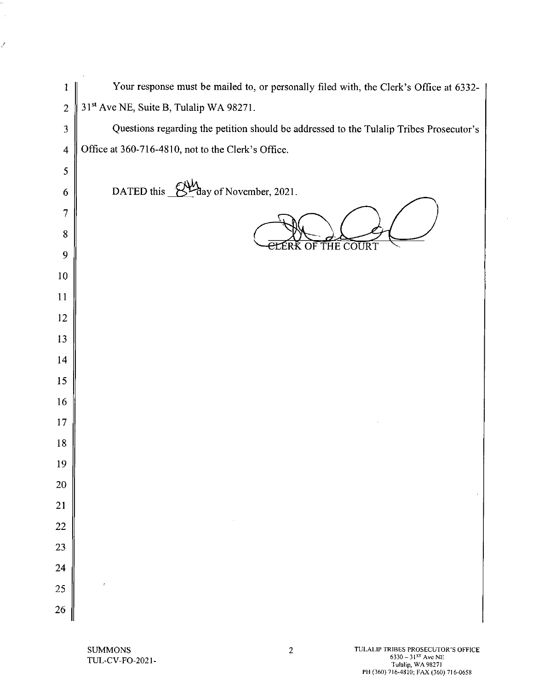| 1                       | Your response must be mailed to, or personally filed with, the Clerk's Office at 6332-  |
|-------------------------|-----------------------------------------------------------------------------------------|
| $\overline{c}$          | 31 <sup>st</sup> Ave NE, Suite B, Tulalip WA 98271.                                     |
| 3                       | Questions regarding the petition should be addressed to the Tulalip Tribes Prosecutor's |
| $\overline{\mathbf{4}}$ | Office at 360-716-4810, not to the Clerk's Office.                                      |
| 5                       |                                                                                         |
| 6                       | <b>d</b><br>day of November, 2021.<br>DATED this                                        |
| 7                       |                                                                                         |
| 8                       |                                                                                         |
| 9                       | <b>ELERK OF THE COURT</b>                                                               |
| 10                      |                                                                                         |
| 11                      |                                                                                         |
| 12                      |                                                                                         |
| 13                      |                                                                                         |
| 14                      |                                                                                         |
| 15                      |                                                                                         |
| 16                      |                                                                                         |
| 17                      |                                                                                         |
| 18                      |                                                                                         |
| 19                      |                                                                                         |
| <b>20</b>               |                                                                                         |
| 21                      |                                                                                         |
| 22                      |                                                                                         |
| 23                      |                                                                                         |
| 24                      |                                                                                         |
| 25                      |                                                                                         |
| 26                      |                                                                                         |

÷,  $\bar{\beta}$ 

Ź

 $\bar{z}$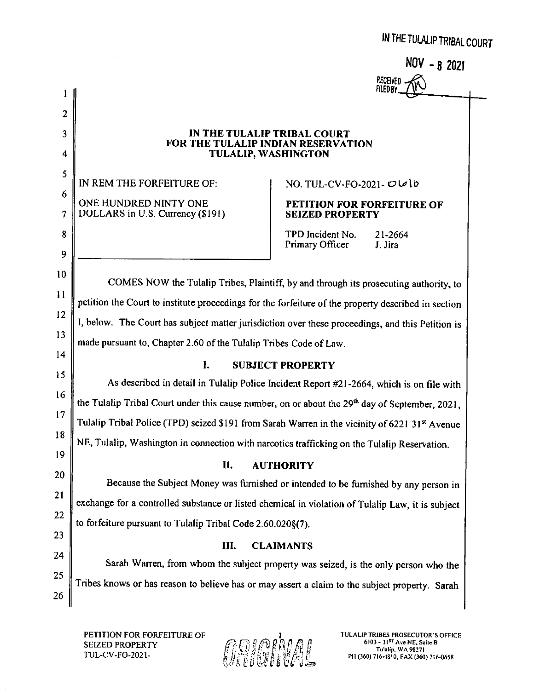NOV - 8 2021 **RECEIVED FILED BY** 

## IN THE TULALIP TRIBAL COURT FOR THE TULALIP INDIAN RESERVATION **TULALIP, WASHINGTON**

IN REM THE FORFEITURE OF: ONE HUNDRED NINTY ONE DOLLARS in U.S. Currency (\$191)

 $\mathbf{1}$ 

 $\overline{2}$ 

3

 $\overline{\mathbf{4}}$ 

5

6

 $\overline{7}$ 

8

9

10

 $11$ 

12

 $13$ 

 $14$ 

15

 $16$ 

 $17$ 

18

19

20

21

22

23

24

25

26

NO. TUL-CV-FO-2021-  $D\omega$  to

# PETITION FOR FORFEITURE OF **SEIZED PROPERTY**

TPD Incident No. 21-2664 **Primary Officer** J. Jira

COMES NOW the Tulalip Tribes, Plaintiff, by and through its prosecuting authority, to petition the Court to institute proceedings for the forfeiture of the property described in section I, below. The Court has subject matter jurisdiction over these proceedings, and this Petition is made pursuant to, Chapter 2.60 of the Tulalip Tribes Code of Law.

### $\mathbf{L}$ **SUBJECT PROPERTY**

As described in detail in Tulalip Police Incident Report #21-2664, which is on file with the Tulalip Tribal Court under this cause number, on or about the 29<sup>th</sup> day of September, 2021, Tulalip Tribal Police (TPD) seized \$191 from Sarah Warren in the vicinity of 6221 31st Avenue NE, Tulalip, Washington in connection with narcotics trafficking on the Tulalip Reservation.

### II. **AUTHORITY**

Because the Subject Money was furnished or intended to be furnished by any person in exchange for a controlled substance or listed chemical in violation of Tulalip Law, it is subject to forfeiture pursuant to Tulalip Tribal Code 2.60.020§(7).

### III. **CLAIMANTS**

Sarah Warren, from whom the subject property was seized, is the only person who the Tribes knows or has reason to believe has or may assert a claim to the subject property. Sarah

PETITION FOR FORFEITURE OF **SEIZED PROPERTY** TUL-CV-FO-2021-